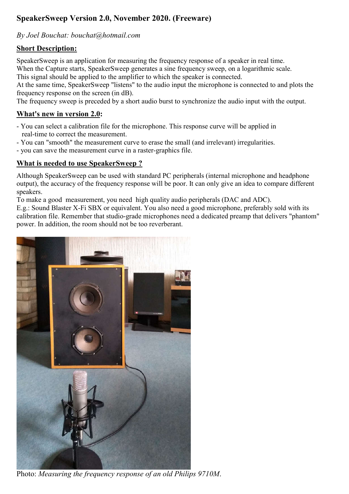# SpeakerSweep Version 2.0, November 2020. (Freeware)

### *By Joel Bouchat: bouchat@hotmail.com*

#### Short Description:

SpeakerSweep is an application for measuring the frequency response of a speaker in real time. When the Capture starts, SpeakerSweep generates a sine frequency sweep, on a logarithmic scale. This signal should be applied to the amplifier to which the speaker is connected.

At the same time, SpeakerSweep "listens" to the audio input the microphone is connected to and plots the frequency response on the screen (in dB).

The frequency sweep is preceded by a short audio burst to synchronize the audio input with the output.

#### What's new in version 2.0:

- You can select a calibration file for the microphone. This response curve will be applied in real-time to correct the measurement.
- You can "smooth" the measurement curve to erase the small (and irrelevant) irregularities.
- you can save the measurement curve in a raster-graphics file.

#### What is needed to use SpeakerSweep ?

Although SpeakerSweep can be used with standard PC peripherals (internal microphone and headphone output), the accuracy of the frequency response will be poor. It can only give an idea to compare different speakers.

To make a good measurement, you need high quality audio peripherals (DAC and ADC).

E.g.: Sound Blaster X-Fi SBX or equivalent. You also need a good microphone, preferably sold with its calibration file. Remember that studio-grade microphones need a dedicated preamp that delivers "phantom" power. In addition, the room should not be too reverberant.



Photo: *Measuring the frequency response of an old Philips 9710M*.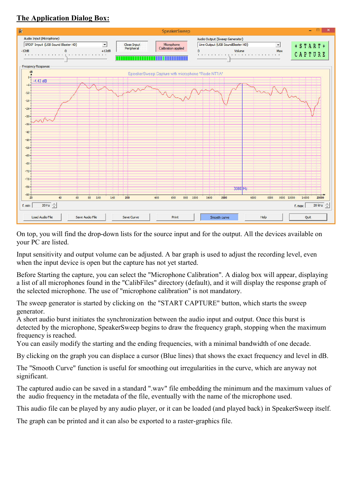## The Application Dialog Box:



On top, you will find the drop-down lists for the source input and for the output. All the devices available on your PC are listed.

Input sensitivity and output volume can be adjusted. A bar graph is used to adjust the recording level, even when the input device is open but the capture has not yet started.

Before Starting the capture, you can select the "Microphone Calibration". A dialog box will appear, displaying a list of all microphones found in the "CalibFiles" directory (default), and it will display the response graph of the selected microphone. The use of "microphone calibration" is not mandatory.

The sweep generator is started by clicking on the "START CAPTURE" button, which starts the sweep generator.

A short audio burst initiates the synchronization between the audio input and output. Once this burst is detected by the microphone, SpeakerSweep begins to draw the frequency graph, stopping when the maximum frequency is reached.

You can easily modify the starting and the ending frequencies, with a minimal bandwidth of one decade.

By clicking on the graph you can displace a cursor (Blue lines) that shows the exact frequency and level in dB.

The "Smooth Curve" function is useful for smoothing out irregularities in the curve, which are anyway not significant.

The captured audio can be saved in a standard ".wav" file embedding the minimum and the maximum values of the audio frequency in the metadata of the file, eventually with the name of the microphone used.

This audio file can be played by any audio player, or it can be loaded (and played back) in SpeakerSweep itself.

The graph can be printed and it can also be exported to a raster-graphics file.